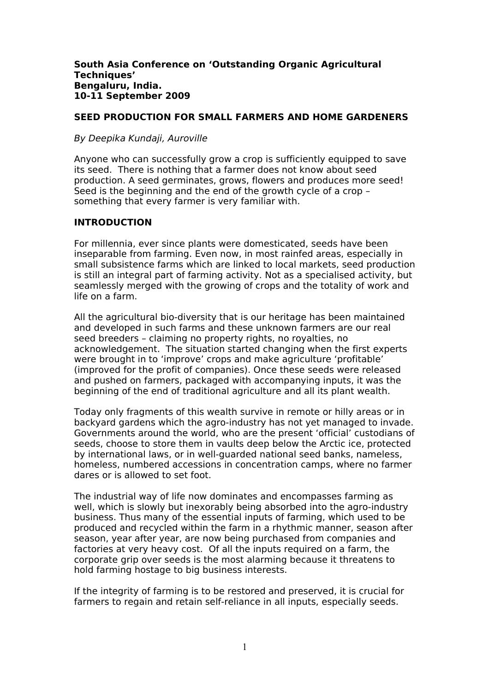#### **South Asia Conference on 'Outstanding Organic Agricultural Techniques' Bengaluru, India. 10-11 September 2009**

### **SEED PRODUCTION FOR SMALL FARMERS AND HOME GARDENERS**

### By Deepika Kundaji, Auroville

Anyone who can successfully grow a crop is sufficiently equipped to save its seed. There is nothing that a farmer does not know about seed production. A seed germinates, grows, flowers and produces more seed! Seed is the beginning and the end of the growth cycle of a crop – something that every farmer is very familiar with.

### **INTRODUCTION**

For millennia, ever since plants were domesticated, seeds have been inseparable from farming. Even now, in most rainfed areas, especially in small subsistence farms which are linked to local markets, seed production is still an integral part of farming activity. Not as a specialised activity, but seamlessly merged with the growing of crops and the totality of work and life on a farm.

All the agricultural bio-diversity that is our heritage has been maintained and developed in such farms and these unknown farmers are our real seed breeders – claiming no property rights, no royalties, no acknowledgement. The situation started changing when the first experts were brought in to 'improve' crops and make agriculture 'profitable' (improved for the profit of companies). Once these seeds were released and pushed on farmers, packaged with accompanying inputs, it was the beginning of the end of traditional agriculture and all its plant wealth.

Today only fragments of this wealth survive in remote or hilly areas or in backyard gardens which the agro-industry has not yet managed to invade. Governments around the world, who are the present 'official' custodians of seeds, choose to store them in vaults deep below the Arctic ice, protected by international laws, or in well-guarded national seed banks, nameless, homeless, numbered accessions in concentration camps, where no farmer dares or is allowed to set foot.

The industrial way of life now dominates and encompasses farming as well, which is slowly but inexorably being absorbed into the agro-industry business. Thus many of the essential inputs of farming, which used to be produced and recycled within the farm in a rhythmic manner, season after season, year after year, are now being purchased from companies and factories at very heavy cost. Of all the inputs required on a farm, the corporate grip over seeds is the most alarming because it threatens to hold farming hostage to big business interests.

If the integrity of farming is to be restored and preserved, it is crucial for farmers to regain and retain self-reliance in all inputs, especially seeds.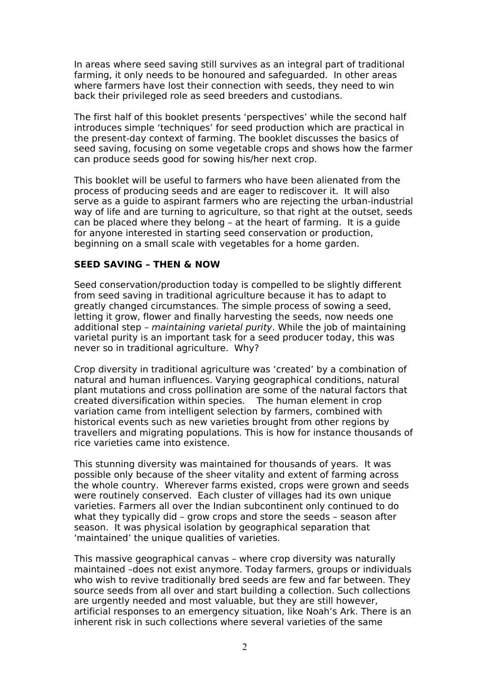In areas where seed saving still survives as an integral part of traditional farming, it only needs to be honoured and safeguarded. In other areas where farmers have lost their connection with seeds, they need to win back their privileged role as seed breeders and custodians.

The first half of this booklet presents 'perspectives' while the second half introduces simple 'techniques' for seed production which are practical in the present-day context of farming. The booklet discusses the basics of seed saving, focusing on some vegetable crops and shows how the farmer can produce seeds good for sowing his/her next crop.

This booklet will be useful to farmers who have been alienated from the process of producing seeds and are eager to rediscover it. It will also serve as a guide to aspirant farmers who are rejecting the urban-industrial way of life and are turning to agriculture, so that right at the outset, seeds can be placed where they belong – at the heart of farming. It is a guide for anyone interested in starting seed conservation or production, beginning on a small scale with vegetables for a home garden.

### **SEED SAVING – THEN & NOW**

Seed conservation/production today is compelled to be slightly different from seed saving in traditional agriculture because it has to adapt to greatly changed circumstances. The simple process of sowing a seed, letting it grow, flower and finally harvesting the seeds, now needs one additional step – maintaining varietal purity. While the job of maintaining varietal purity is an important task for a seed producer today, this was never so in traditional agriculture. Why?

Crop diversity in traditional agriculture was 'created' by a combination of natural and human influences. Varying geographical conditions, natural plant mutations and cross pollination are some of the natural factors that created diversification within species. The human element in crop variation came from intelligent selection by farmers, combined with historical events such as new varieties brought from other regions by travellers and migrating populations. This is how for instance thousands of rice varieties came into existence.

This stunning diversity was maintained for thousands of years. It was possible only because of the sheer vitality and extent of farming across the whole country. Wherever farms existed, crops were grown and seeds were routinely conserved. Each cluster of villages had its own unique varieties. Farmers all over the Indian subcontinent only continued to do what they typically did – grow crops and store the seeds – season after season. It was physical isolation by geographical separation that 'maintained' the unique qualities of varieties.

This massive geographical canvas – where crop diversity was naturally maintained –does not exist anymore. Today farmers, groups or individuals who wish to revive traditionally bred seeds are few and far between. They source seeds from all over and start building a collection. Such collections are urgently needed and most valuable, but they are still however, artificial responses to an emergency situation, like Noah's Ark. There is an inherent risk in such collections where several varieties of the same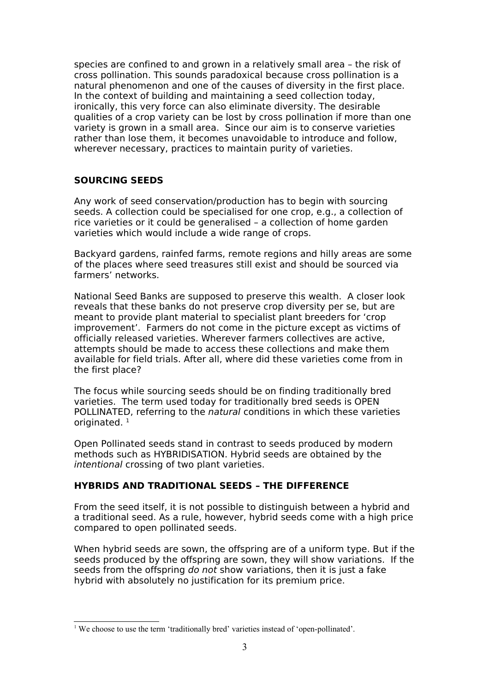species are confined to and grown in a relatively small area – the risk of cross pollination. This sounds paradoxical because cross pollination is a natural phenomenon and one of the causes of diversity in the first place. In the context of building and maintaining a seed collection today, ironically, this very force can also eliminate diversity. The desirable qualities of a crop variety can be lost by cross pollination if more than one variety is grown in a small area. Since our aim is to conserve varieties rather than lose them, it becomes unavoidable to introduce and follow, wherever necessary, practices to maintain purity of varieties.

# **SOURCING SEEDS**

Any work of seed conservation/production has to begin with sourcing seeds. A collection could be specialised for one crop, e.g., a collection of rice varieties or it could be generalised – a collection of home garden varieties which would include a wide range of crops.

Backyard gardens, rainfed farms, remote regions and hilly areas are some of the places where seed treasures still exist and should be sourced via farmers' networks.

National Seed Banks are supposed to preserve this wealth. A closer look reveals that these banks do not preserve crop diversity per se, but are meant to provide plant material to specialist plant breeders for 'crop improvement'. Farmers do not come in the picture except as victims of officially released varieties. Wherever farmers collectives are active, attempts should be made to access these collections and make them available for field trials. After all, where did these varieties come from in the first place?

The focus while sourcing seeds should be on finding traditionally bred varieties. The term used today for traditionally bred seeds is OPEN POLLINATED, referring to the natural conditions in which these varieties originated.<sup>1</sup>

Open Pollinated seeds stand in contrast to seeds produced by modern methods such as HYBRIDISATION. Hybrid seeds are obtained by the intentional crossing of two plant varieties.

# **HYBRIDS AND TRADITIONAL SEEDS – THE DIFFERENCE**

From the seed itself, it is not possible to distinguish between a hybrid and a traditional seed. As a rule, however, hybrid seeds come with a high price compared to open pollinated seeds.

When hybrid seeds are sown, the offspring are of a uniform type. But if the seeds produced by the offspring are sown, they will show variations. If the seeds from the offspring do not show variations, then it is just a fake hybrid with absolutely no justification for its premium price.

<sup>&</sup>lt;sup>1</sup> We choose to use the term 'traditionally bred' varieties instead of 'open-pollinated'.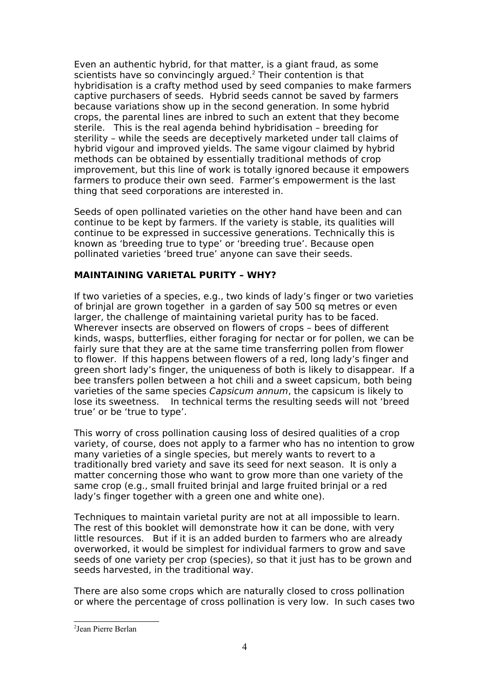Even an authentic hybrid, for that matter, is a giant fraud, as some scientists have so convincingly argued.<sup>2</sup> Their contention is that hybridisation is a crafty method used by seed companies to make farmers captive purchasers of seeds. Hybrid seeds cannot be saved by farmers because variations show up in the second generation. In some hybrid crops, the parental lines are inbred to such an extent that they become sterile. This is the real agenda behind hybridisation – breeding for sterility – while the seeds are deceptively marketed under tall claims of hybrid vigour and improved yields. The same vigour claimed by hybrid methods can be obtained by essentially traditional methods of crop improvement, but this line of work is totally ignored because it empowers farmers to produce their own seed. Farmer's empowerment is the last thing that seed corporations are interested in.

Seeds of open pollinated varieties on the other hand have been and can continue to be kept by farmers. If the variety is stable, its qualities will continue to be expressed in successive generations. Technically this is known as 'breeding true to type' or 'breeding true'. Because open pollinated varieties 'breed true' anyone can save their seeds.

### **MAINTAINING VARIETAL PURITY – WHY?**

If two varieties of a species, e.g., two kinds of lady's finger or two varieties of brinjal are grown together in a garden of say 500 sq metres or even larger, the challenge of maintaining varietal purity has to be faced. Wherever insects are observed on flowers of crops – bees of different kinds, wasps, butterflies, either foraging for nectar or for pollen, we can be fairly sure that they are at the same time transferring pollen from flower to flower. If this happens between flowers of a red, long lady's finger and green short lady's finger, the uniqueness of both is likely to disappear. If a bee transfers pollen between a hot chili and a sweet capsicum, both being varieties of the same species Capsicum annum, the capsicum is likely to lose its sweetness. In technical terms the resulting seeds will not 'breed true' or be 'true to type'.

This worry of cross pollination causing loss of desired qualities of a crop variety, of course, does not apply to a farmer who has no intention to grow many varieties of a single species, but merely wants to revert to a traditionally bred variety and save its seed for next season. It is only a matter concerning those who want to grow more than one variety of the same crop (e.g., small fruited brinjal and large fruited brinjal or a red lady's finger together with a green one and white one).

Techniques to maintain varietal purity are not at all impossible to learn. The rest of this booklet will demonstrate how it can be done, with very little resources. But if it is an added burden to farmers who are already overworked, it would be simplest for individual farmers to grow and save seeds of one variety per crop (species), so that it just has to be grown and seeds harvested, in the traditional way.

There are also some crops which are naturally closed to cross pollination or where the percentage of cross pollination is very low. In such cases two

<sup>2</sup> Jean Pierre Berlan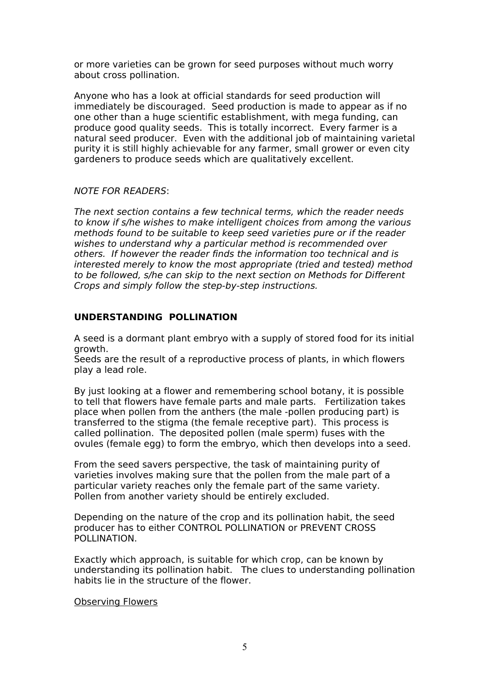or more varieties can be grown for seed purposes without much worry about cross pollination.

Anyone who has a look at official standards for seed production will immediately be discouraged. Seed production is made to appear as if no one other than a huge scientific establishment, with mega funding, can produce good quality seeds. This is totally incorrect. Every farmer is a natural seed producer. Even with the additional job of maintaining varietal purity it is still highly achievable for any farmer, small grower or even city gardeners to produce seeds which are qualitatively excellent.

NOTE FOR READERS:

The next section contains a few technical terms, which the reader needs to know if s/he wishes to make intelligent choices from among the various methods found to be suitable to keep seed varieties pure or if the reader wishes to understand why a particular method is recommended over others. If however the reader finds the information too technical and is interested merely to know the most appropriate (tried and tested) method to be followed, s/he can skip to the next section on Methods for Different Crops and simply follow the step-by-step instructions.

### **UNDERSTANDING POLLINATION**

A seed is a dormant plant embryo with a supply of stored food for its initial growth.

Seeds are the result of a reproductive process of plants, in which flowers play a lead role.

By just looking at a flower and remembering school botany, it is possible to tell that flowers have female parts and male parts. Fertilization takes place when pollen from the anthers (the male -pollen producing part) is transferred to the stigma (the female receptive part). This process is called pollination. The deposited pollen (male sperm) fuses with the ovules (female egg) to form the embryo, which then develops into a seed.

From the seed savers perspective, the task of maintaining purity of varieties involves making sure that the pollen from the male part of a particular variety reaches only the female part of the same variety. Pollen from another variety should be entirely excluded.

Depending on the nature of the crop and its pollination habit, the seed producer has to either CONTROL POLLINATION or PREVENT CROSS POLLINATION.

Exactly which approach, is suitable for which crop, can be known by understanding its pollination habit. The clues to understanding pollination habits lie in the structure of the flower.

#### Observing Flowers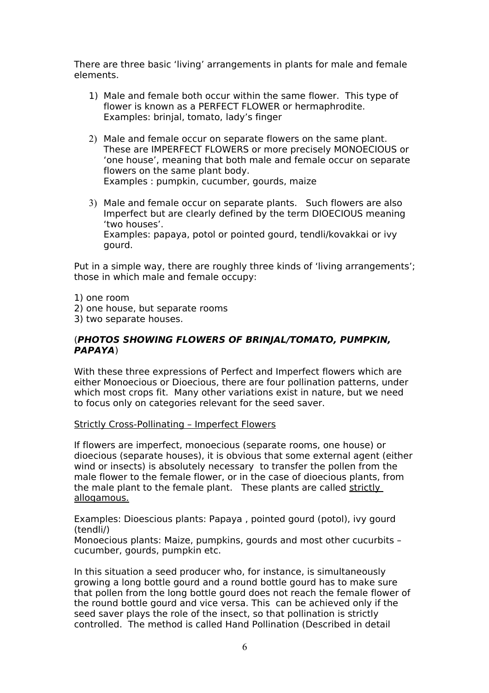There are three basic 'living' arrangements in plants for male and female elements.

- 1) Male and female both occur within the same flower. This type of flower is known as a PERFECT FLOWER or hermaphrodite. Examples: brinjal, tomato, lady's finger
- 2) Male and female occur on separate flowers on the same plant. These are IMPERFECT FLOWERS or more precisely MONOECIOUS or 'one house', meaning that both male and female occur on separate flowers on the same plant body. Examples : pumpkin, cucumber, gourds, maize
- 3) Male and female occur on separate plants. Such flowers are also Imperfect but are clearly defined by the term DIOECIOUS meaning 'two houses'. Examples: papaya, potol or pointed gourd, tendli/kovakkai or ivy gourd.

Put in a simple way, there are roughly three kinds of 'living arrangements'; those in which male and female occupy:

1) one room

- 2) one house, but separate rooms
- 3) two separate houses.

### (**PHOTOS SHOWING FLOWERS OF BRINJAL/TOMATO, PUMPKIN, PAPAYA**)

With these three expressions of Perfect and Imperfect flowers which are either Monoecious or Dioecious, there are four pollination patterns, under which most crops fit. Many other variations exist in nature, but we need to focus only on categories relevant for the seed saver.

#### Strictly Cross-Pollinating – Imperfect Flowers

If flowers are imperfect, monoecious (separate rooms, one house) or dioecious (separate houses), it is obvious that some external agent (either wind or insects) is absolutely necessary to transfer the pollen from the male flower to the female flower, or in the case of dioecious plants, from the male plant to the female plant. These plants are called strictly allogamous.

Examples: Dioescious plants: Papaya , pointed gourd (potol), ivy gourd (tendli/)

Monoecious plants: Maize, pumpkins, gourds and most other cucurbits – cucumber, gourds, pumpkin etc.

In this situation a seed producer who, for instance, is simultaneously growing a long bottle gourd and a round bottle gourd has to make sure that pollen from the long bottle gourd does not reach the female flower of the round bottle gourd and vice versa. This can be achieved only if the seed saver plays the role of the insect, so that pollination is strictly controlled. The method is called Hand Pollination (Described in detail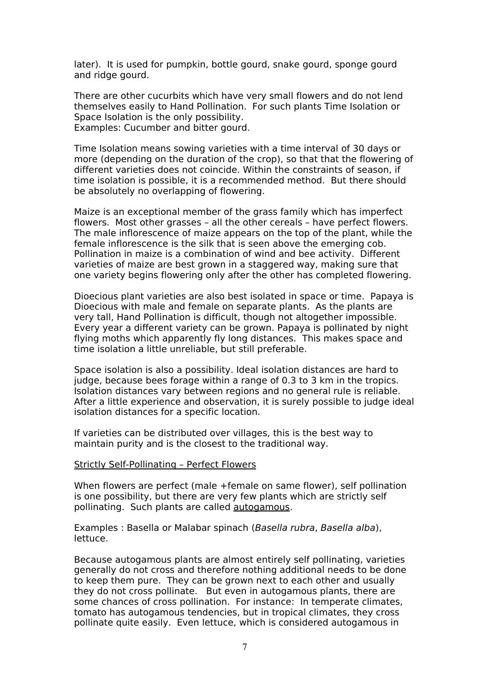later). It is used for pumpkin, bottle gourd, snake gourd, sponge gourd and ridge gourd.

There are other cucurbits which have very small flowers and do not lend themselves easily to Hand Pollination. For such plants Time Isolation or Space Isolation is the only possibility. Examples: Cucumber and bitter gourd.

Time Isolation means sowing varieties with a time interval of 30 days or more (depending on the duration of the crop), so that that the flowering of different varieties does not coincide. Within the constraints of season, if time isolation is possible, it is a recommended method. But there should be absolutely no overlapping of flowering.

Maize is an exceptional member of the grass family which has imperfect flowers. Most other grasses – all the other cereals – have perfect flowers. The male inflorescence of maize appears on the top of the plant, while the female inflorescence is the silk that is seen above the emerging cob. Pollination in maize is a combination of wind and bee activity. Different varieties of maize are best grown in a staggered way, making sure that one variety begins flowering only after the other has completed flowering.

Dioecious plant varieties are also best isolated in space or time. Papaya is Dioecious with male and female on separate plants. As the plants are very tall, Hand Pollination is difficult, though not altogether impossible. Every year a different variety can be grown. Papaya is pollinated by night flying moths which apparently fly long distances. This makes space and time isolation a little unreliable, but still preferable.

Space isolation is also a possibility. Ideal isolation distances are hard to judge, because bees forage within a range of 0.3 to 3 km in the tropics. Isolation distances vary between regions and no general rule is reliable. After a little experience and observation, it is surely possible to judge ideal isolation distances for a specific location.

If varieties can be distributed over villages, this is the best way to maintain purity and is the closest to the traditional way.

#### Strictly Self-Pollinating – Perfect Flowers

When flowers are perfect (male +female on same flower), self pollination is one possibility, but there are very few plants which are strictly self pollinating. Such plants are called autogamous.

Examples : Basella or Malabar spinach (Basella rubra, Basella alba), lettuce.

Because autogamous plants are almost entirely self pollinating, varieties generally do not cross and therefore nothing additional needs to be done to keep them pure. They can be grown next to each other and usually they do not cross pollinate. But even in autogamous plants, there are some chances of cross pollination. For instance: In temperate climates, tomato has autogamous tendencies, but in tropical climates, they cross pollinate quite easily. Even lettuce, which is considered autogamous in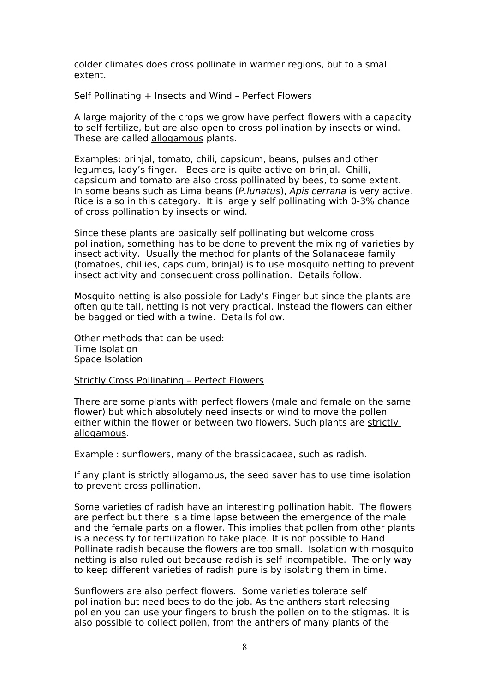colder climates does cross pollinate in warmer regions, but to a small extent.

#### Self Pollinating + Insects and Wind – Perfect Flowers

A large majority of the crops we grow have perfect flowers with a capacity to self fertilize, but are also open to cross pollination by insects or wind. These are called allogamous plants.

Examples: brinjal, tomato, chili, capsicum, beans, pulses and other legumes, lady's finger. Bees are is quite active on brinjal. Chilli, capsicum and tomato are also cross pollinated by bees, to some extent. In some beans such as Lima beans (P.lunatus), Apis cerrana is very active. Rice is also in this category. It is largely self pollinating with 0-3% chance of cross pollination by insects or wind.

Since these plants are basically self pollinating but welcome cross pollination, something has to be done to prevent the mixing of varieties by insect activity. Usually the method for plants of the Solanaceae family (tomatoes, chillies, capsicum, brinjal) is to use mosquito netting to prevent insect activity and consequent cross pollination. Details follow.

Mosquito netting is also possible for Lady's Finger but since the plants are often quite tall, netting is not very practical. Instead the flowers can either be bagged or tied with a twine. Details follow.

Other methods that can be used: Time Isolation Space Isolation

#### Strictly Cross Pollinating – Perfect Flowers

There are some plants with perfect flowers (male and female on the same flower) but which absolutely need insects or wind to move the pollen either within the flower or between two flowers. Such plants are strictly allogamous.

Example : sunflowers, many of the brassicacaea, such as radish.

If any plant is strictly allogamous, the seed saver has to use time isolation to prevent cross pollination.

Some varieties of radish have an interesting pollination habit. The flowers are perfect but there is a time lapse between the emergence of the male and the female parts on a flower. This implies that pollen from other plants is a necessity for fertilization to take place. It is not possible to Hand Pollinate radish because the flowers are too small. Isolation with mosquito netting is also ruled out because radish is self incompatible. The only way to keep different varieties of radish pure is by isolating them in time.

Sunflowers are also perfect flowers. Some varieties tolerate self pollination but need bees to do the job. As the anthers start releasing pollen you can use your fingers to brush the pollen on to the stigmas. It is also possible to collect pollen, from the anthers of many plants of the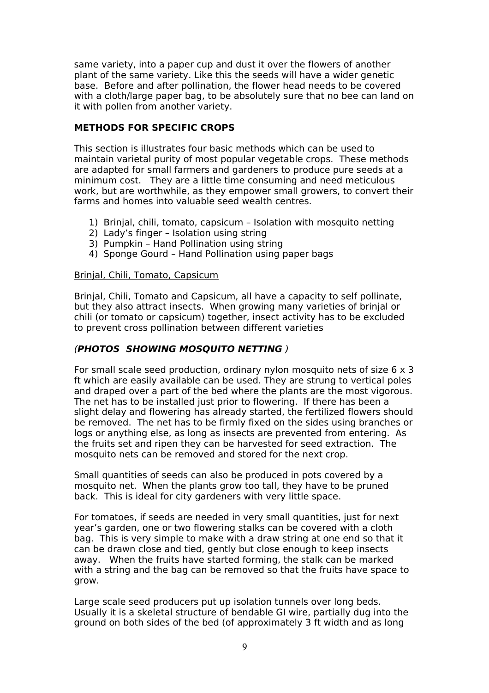same variety, into a paper cup and dust it over the flowers of another plant of the same variety. Like this the seeds will have a wider genetic base. Before and after pollination, the flower head needs to be covered with a cloth/large paper bag, to be absolutely sure that no bee can land on it with pollen from another variety.

# **METHODS FOR SPECIFIC CROPS**

This section is illustrates four basic methods which can be used to maintain varietal purity of most popular vegetable crops. These methods are adapted for small farmers and gardeners to produce pure seeds at a minimum cost. They are a little time consuming and need meticulous work, but are worthwhile, as they empower small growers, to convert their farms and homes into valuable seed wealth centres.

- 1) Brinjal, chili, tomato, capsicum Isolation with mosquito netting
- 2) Lady's finger Isolation using string
- 3) Pumpkin Hand Pollination using string
- 4) Sponge Gourd Hand Pollination using paper bags

### Brinjal, Chili, Tomato, Capsicum

Brinjal, Chili, Tomato and Capsicum, all have a capacity to self pollinate, but they also attract insects. When growing many varieties of brinjal or chili (or tomato or capsicum) together, insect activity has to be excluded to prevent cross pollination between different varieties

# (**PHOTOS SHOWING MOSQUITO NETTING** )

For small scale seed production, ordinary nylon mosquito nets of size 6 x 3 ft which are easily available can be used. They are strung to vertical poles and draped over a part of the bed where the plants are the most vigorous. The net has to be installed just prior to flowering. If there has been a slight delay and flowering has already started, the fertilized flowers should be removed. The net has to be firmly fixed on the sides using branches or logs or anything else, as long as insects are prevented from entering. As the fruits set and ripen they can be harvested for seed extraction. The mosquito nets can be removed and stored for the next crop.

Small quantities of seeds can also be produced in pots covered by a mosquito net. When the plants grow too tall, they have to be pruned back. This is ideal for city gardeners with very little space.

For tomatoes, if seeds are needed in very small quantities, just for next year's garden, one or two flowering stalks can be covered with a cloth bag. This is very simple to make with a draw string at one end so that it can be drawn close and tied, gently but close enough to keep insects away. When the fruits have started forming, the stalk can be marked with a string and the bag can be removed so that the fruits have space to grow.

Large scale seed producers put up isolation tunnels over long beds. Usually it is a skeletal structure of bendable GI wire, partially dug into the ground on both sides of the bed (of approximately 3 ft width and as long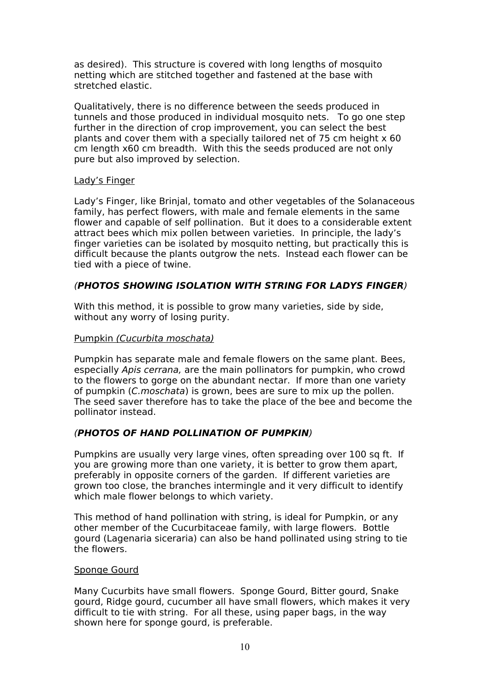as desired). This structure is covered with long lengths of mosquito netting which are stitched together and fastened at the base with stretched elastic.

Qualitatively, there is no difference between the seeds produced in tunnels and those produced in individual mosquito nets. To go one step further in the direction of crop improvement, you can select the best plants and cover them with a specially tailored net of 75 cm height x 60 cm length x60 cm breadth. With this the seeds produced are not only pure but also improved by selection.

### Lady's Finger

Lady's Finger, like Brinjal, tomato and other vegetables of the Solanaceous family, has perfect flowers, with male and female elements in the same flower and capable of self pollination. But it does to a considerable extent attract bees which mix pollen between varieties. In principle, the lady's finger varieties can be isolated by mosquito netting, but practically this is difficult because the plants outgrow the nets. Instead each flower can be tied with a piece of twine.

# (**PHOTOS SHOWING ISOLATION WITH STRING FOR LADYS FINGER**)

With this method, it is possible to grow many varieties, side by side, without any worry of losing purity.

### Pumpkin (Cucurbita moschata)

Pumpkin has separate male and female flowers on the same plant. Bees, especially Apis cerrana, are the main pollinators for pumpkin, who crowd to the flowers to gorge on the abundant nectar. If more than one variety of pumpkin (C.moschata) is grown, bees are sure to mix up the pollen. The seed saver therefore has to take the place of the bee and become the pollinator instead.

# (**PHOTOS OF HAND POLLINATION OF PUMPKIN**)

Pumpkins are usually very large vines, often spreading over 100 sq ft. If you are growing more than one variety, it is better to grow them apart, preferably in opposite corners of the garden. If different varieties are grown too close, the branches intermingle and it very difficult to identify which male flower belongs to which variety.

This method of hand pollination with string, is ideal for Pumpkin, or any other member of the Cucurbitaceae family, with large flowers. Bottle gourd (Lagenaria siceraria) can also be hand pollinated using string to tie the flowers.

### Sponge Gourd

Many Cucurbits have small flowers. Sponge Gourd, Bitter gourd, Snake gourd, Ridge gourd, cucumber all have small flowers, which makes it very difficult to tie with string. For all these, using paper bags, in the way shown here for sponge gourd, is preferable.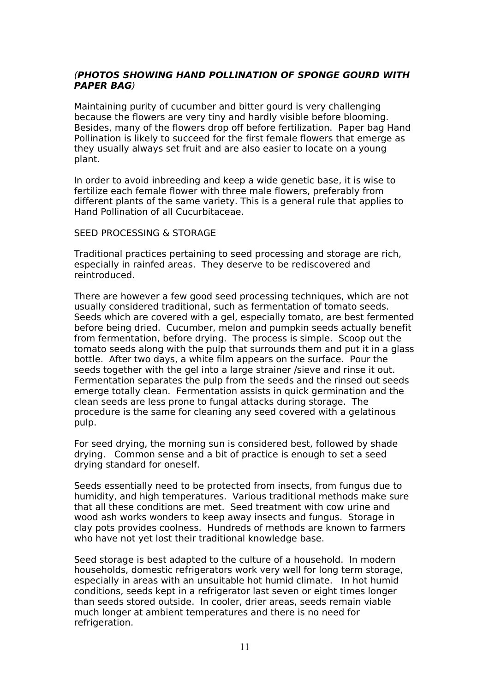## (**PHOTOS SHOWING HAND POLLINATION OF SPONGE GOURD WITH PAPER BAG**)

Maintaining purity of cucumber and bitter gourd is very challenging because the flowers are very tiny and hardly visible before blooming. Besides, many of the flowers drop off before fertilization. Paper bag Hand Pollination is likely to succeed for the first female flowers that emerge as they usually always set fruit and are also easier to locate on a young plant.

In order to avoid inbreeding and keep a wide genetic base, it is wise to fertilize each female flower with three male flowers, preferably from different plants of the same variety. This is a general rule that applies to Hand Pollination of all Cucurbitaceae.

#### SEED PROCESSING & STORAGE

Traditional practices pertaining to seed processing and storage are rich, especially in rainfed areas. They deserve to be rediscovered and reintroduced.

There are however a few good seed processing techniques, which are not usually considered traditional, such as fermentation of tomato seeds. Seeds which are covered with a gel, especially tomato, are best fermented before being dried. Cucumber, melon and pumpkin seeds actually benefit from fermentation, before drying. The process is simple. Scoop out the tomato seeds along with the pulp that surrounds them and put it in a glass bottle. After two days, a white film appears on the surface. Pour the seeds together with the gel into a large strainer /sieve and rinse it out. Fermentation separates the pulp from the seeds and the rinsed out seeds emerge totally clean. Fermentation assists in quick germination and the clean seeds are less prone to fungal attacks during storage. The procedure is the same for cleaning any seed covered with a gelatinous pulp.

For seed drying, the morning sun is considered best, followed by shade drying. Common sense and a bit of practice is enough to set a seed drying standard for oneself.

Seeds essentially need to be protected from insects, from fungus due to humidity, and high temperatures. Various traditional methods make sure that all these conditions are met. Seed treatment with cow urine and wood ash works wonders to keep away insects and fungus. Storage in clay pots provides coolness. Hundreds of methods are known to farmers who have not yet lost their traditional knowledge base.

Seed storage is best adapted to the culture of a household. In modern households, domestic refrigerators work very well for long term storage, especially in areas with an unsuitable hot humid climate. In hot humid conditions, seeds kept in a refrigerator last seven or eight times longer than seeds stored outside. In cooler, drier areas, seeds remain viable much longer at ambient temperatures and there is no need for refrigeration.